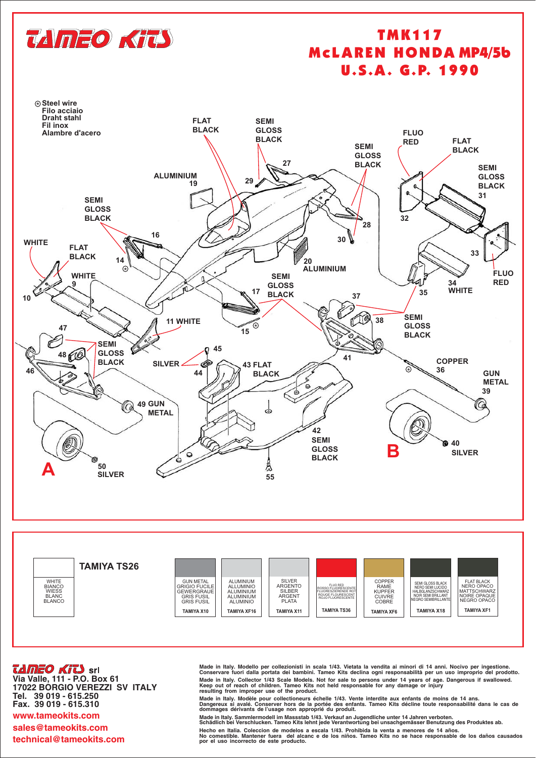

## **TMK117 MCLAREN HONDA MP4/5b U.S.A. G.P. 1990**



TAMEO KITS Srl

Via Valle, 111 - P.O. Box 61 17022 BORGIO VEREZZI SV ITALY Tel. 39 019 - 615.250 Fax. 39 019 - 615.310 www.tameokits.com sales@tameokits.com technical@tameokits.com

Made in Italy. Modello per collezionisti in scala 1/43. Vietata la vendita ai minori di 14 anni. Nocivo per ingestione.<br>Conservare fuori dalla portata dei bambini. Tameo Kits declina ogni responsabilità per un uso impropri Made in Italy. Collector 1/43 Scale Models. Not for sale to persons under 14 years of age. Dangerous if swallowed.<br>Keep out of reach of children. Tameo Kits not held responsable for any damage or injury resulting from improper use of the product.

Valge in Italy, Modèle pour collectioneurs échelle 1/43. Vente interdite aux enfants de moins de 14 ans.<br>Dangereux si avalé. Conserver hors de la portée des enfants. Tameo Kits décline toute responsabilité dans le cas de<br>d

Made in Italy. Sammlermodell im Massstab 1/43. Verkauf an Jugendliche unter 14 Jahren verboten.<br>Schädlich bei Verschlucken. Tameo Kits lehnt jede Verantwortung bei unsachgemässer Benutzung des Produktes ab.

Hecho en Italia. Coleccion de modelos a escala 1/43. Prohibida la venta a menores de 14 años.<br>No comestible. Mantener fuera del alcanc e de los niños. Tameo Kits no se hace responsable de los daños causados por el uso incorrecto de este producto.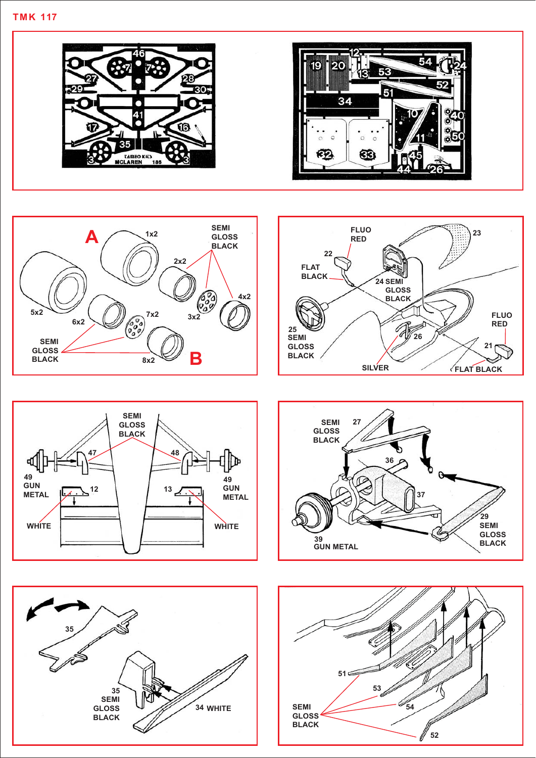











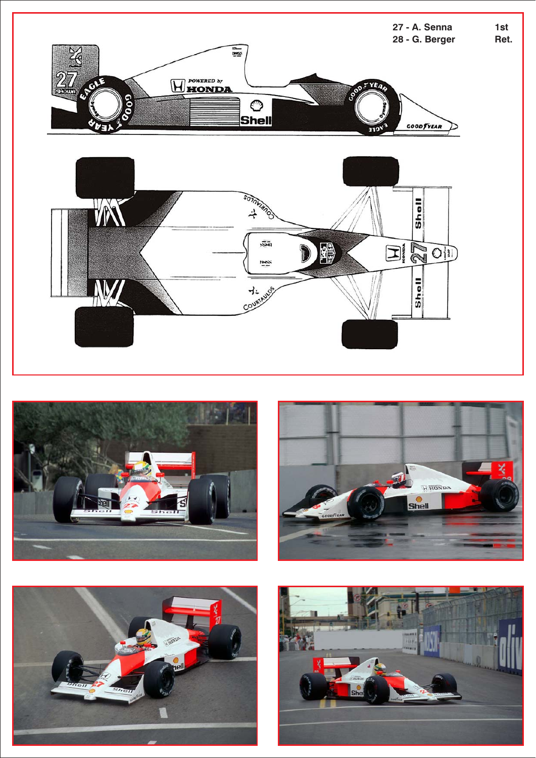